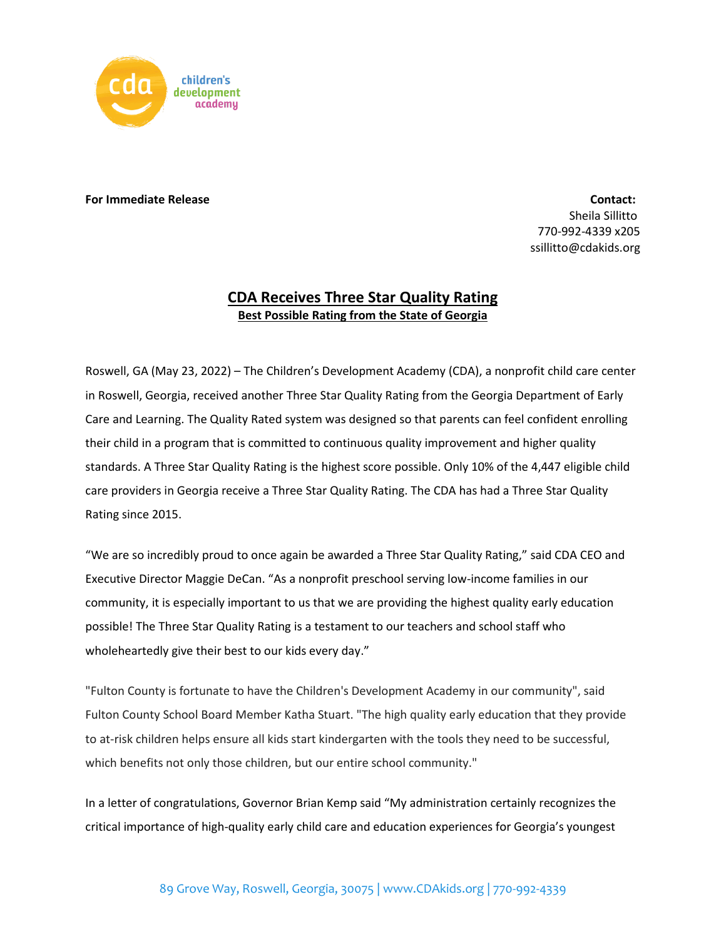

## **For Immediate Release Contact:**

Sheila Sillitto 770-992-4339 x205 ssillitto@cdakids.org

## **CDA Receives Three Star Quality Rating Best Possible Rating from the State of Georgia**

Roswell, GA (May 23, 2022) – The Children's Development Academy (CDA), a nonprofit child care center in Roswell, Georgia, received another Three Star Quality Rating from the Georgia Department of Early Care and Learning. The Quality Rated system was designed so that parents can feel confident enrolling their child in a program that is committed to continuous quality improvement and higher quality standards. A Three Star Quality Rating is the highest score possible. Only 10% of the 4,447 eligible child care providers in Georgia receive a Three Star Quality Rating. The CDA has had a Three Star Quality Rating since 2015.

"We are so incredibly proud to once again be awarded a Three Star Quality Rating," said CDA CEO and Executive Director Maggie DeCan. "As a nonprofit preschool serving low-income families in our community, it is especially important to us that we are providing the highest quality early education possible! The Three Star Quality Rating is a testament to our teachers and school staff who wholeheartedly give their best to our kids every day."

"Fulton County is fortunate to have the Children's Development Academy in our community", said Fulton County School Board Member Katha Stuart. "The high quality early education that they provide to at-risk children helps ensure all kids start kindergarten with the tools they need to be successful, which benefits not only those children, but our entire school community."

In a letter of congratulations, Governor Brian Kemp said "My administration certainly recognizes the critical importance of high-quality early child care and education experiences for Georgia's youngest